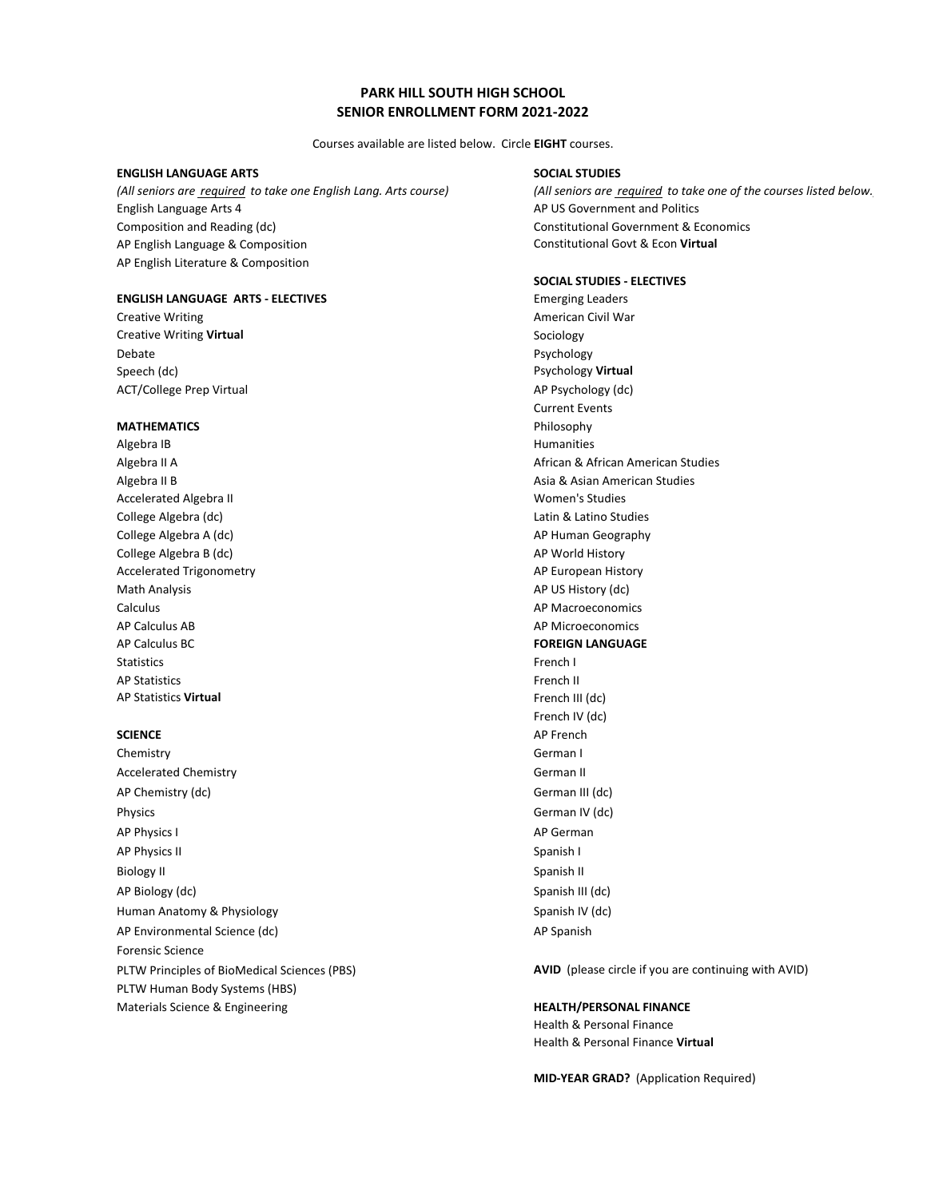# **PARK HILL SOUTH HIGH SCHOOL SENIOR ENROLLMENT FORM 2021-2022**

Courses available are listed below. Circle **EIGHT** courses.

### **ENGLISH LANGUAGE ARTS SOCIAL STUDIES**

English Language Arts 4 AP US Government and Politics Composition and Reading (dc) extends the constitutional Government & Economics AP English Language & Composition Constitutional Govt & Econ **Virtual** AP English Literature & Composition

### **ENGLISH LANGUAGE ARTS - ELECTIVES** Emerging Leaders

**Creative Writing Community Creative Writing American Civil War Creative Writing Virtual Sociology Sociology Sociology** Debate Psychology Speech (dc) **Psychology Virtual** ACT/College Prep Virtual AP Psychology (dc)

## **MATHEMATICS** Philosophy

Algebra IB discussed by the contract of the contract of the Humanities of the Humanities Accelerated Algebra II Women's Studies College Algebra (dc) Latin & Latino Studies College Algebra A (dc) AP Human Geography College Algebra B (dc) and a set of the College Algebra B (dc) Accelerated Trigonometry **AP European History** AP European History Math Analysis **AP US History (dc)** Calculus AP Macroeconomics AP Calculus AB AP Microeconomics AP Calculus BC **FOREIGN LANGUAGE** Statistics **French I** AP Statistics French II AP Statistics **Virtual** French III (dc)

Chemistry German I Accelerated Chemistry **German II** AP Chemistry (dc) **German III** (dc) Physics German IV (dc) AP Physics I AP German AP Physics II Spanish I Biology II Spanish II Spanish II Spanish II Spanish II Spanish II Spanish II Spanish II AP Biology (dc) Spanish III (dc) Human Anatomy & Physiology Spanish IV (dc) Spanish IV (dc) AP Environmental Science (dc) and a series of the Spanish AP Spanish Forensic Science PLTW Human Body Systems (HBS) Materials Science & Engineering **HEALTH/PERSONAL FINANCE**

*(All seniors are required to take one English Lang. Arts course) (All seniors are required to take one of the courses listed below.)*

### **SOCIAL STUDIES - ELECTIVES**

Current Events Algebra II A African & African American Studies Algebra II B **Algebra II B** Asian American Studies French IV (dc) **SCIENCE** AP French

PLTW Principles of BioMedical Sciences (PBS) **AVID** (please circle if you are continuing with AVID)

Health & Personal Finance Health & Personal Finance **Virtual**

**MID-YEAR GRAD?** (Application Required)